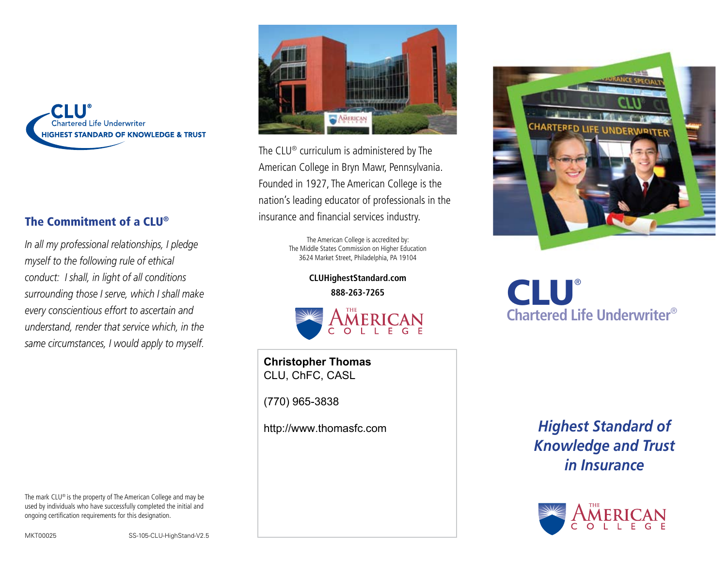

## The Commitment of a CLU®

*In all my professional relationships, I pledge myself to the following rule of ethical conduct: I shall, in light of all conditions surrounding those I serve, which I shall make every conscientious effort to ascertain and understand, render that service which, in the same circumstances, I would apply to myself.*

The mark CLU® is the property of The American College and may be used by individuals who have successfully completed the initial and ongoing certification requirements for this designation.



The CLU® curriculum is administered by The American College in Bryn Mawr, Pennsylvania. Founded in 1927, The American College is the nation's leading educator of professionals in the insurance and financial services industry.

> The American College is accredited by: The Middle States Commission on Higher Education 3624 Market Street, Philadelphia, PA 19104

> > **CLUHighestStandard.com 888-263-7265**



**Christopher Thomas** CLU, ChFC, CASL

(770) 965-3838

http://www.thomasfc.com



**CLU Chartered Life Underwriter**®

> *Highest Standard of Knowledge and Trust in Insurance*